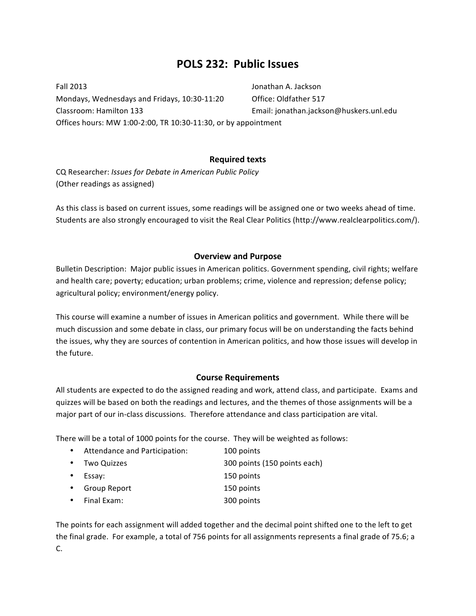# **POLS 232: Public Issues**

Fall 2013 **Fall 2013 Constitution Constitution Constitution Constitution Constitution Constitution Constitution Constitution Constitution Constitution Constitution Constitution Constitution Cons** Mondays, Wednesdays and Fridays, 10:30-11:20 Office: Oldfather 517 Classroom: Hamilton 133 **Email:** jonathan.jackson@huskers.unl.edu Offices hours: MW 1:00-2:00, TR 10:30-11:30, or by appointment

# **Required texts**

CQ Researcher: *Issues for Debate in American Public Policy* (Other readings as assigned)

As this class is based on current issues, some readings will be assigned one or two weeks ahead of time. Students are also strongly encouraged to visit the Real Clear Politics (http://www.realclearpolitics.com/).

# **Overview and Purpose**

Bulletin Description: Major public issues in American politics. Government spending, civil rights; welfare and health care; poverty; education; urban problems; crime, violence and repression; defense policy; agricultural policy; environment/energy policy.

This course will examine a number of issues in American politics and government. While there will be much discussion and some debate in class, our primary focus will be on understanding the facts behind the issues, why they are sources of contention in American politics, and how those issues will develop in the future.

## **Course Requirements**

All students are expected to do the assigned reading and work, attend class, and participate. Exams and quizzes will be based on both the readings and lectures, and the themes of those assignments will be a major part of our in-class discussions. Therefore attendance and class participation are vital.

There will be a total of 1000 points for the course. They will be weighted as follows:

- Attendance and Participation: 100 points
- Two Quizzes 300 points (150 points each)
- Essay: 150 points
	-
- Group Report 150 points
- Final Exam: 300 points

The points for each assignment will added together and the decimal point shifted one to the left to get the final grade. For example, a total of 756 points for all assignments represents a final grade of 75.6; a C.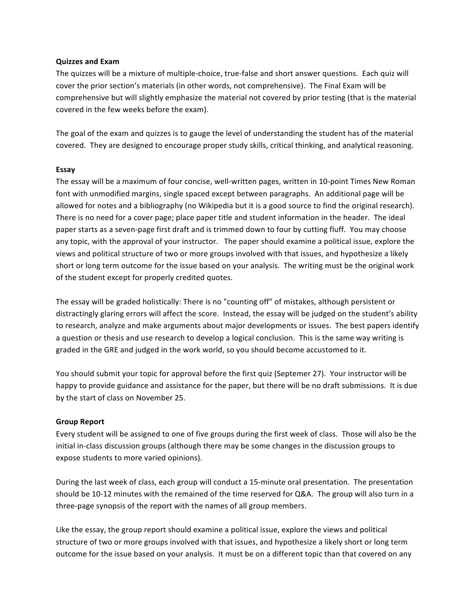#### **Quizzes and Exam**

The quizzes will be a mixture of multiple-choice, true-false and short answer questions. Each quiz will cover the prior section's materials (in other words, not comprehensive). The Final Exam will be comprehensive but will slightly emphasize the material not covered by prior testing (that is the material covered in the few weeks before the exam).

The goal of the exam and quizzes is to gauge the level of understanding the student has of the material covered. They are designed to encourage proper study skills, critical thinking, and analytical reasoning.

#### **Essay**

The essay will be a maximum of four concise, well-written pages, written in 10-point Times New Roman font with unmodified margins, single spaced except between paragraphs. An additional page will be allowed for notes and a bibliography (no Wikipedia but it is a good source to find the original research). There is no need for a cover page; place paper title and student information in the header. The ideal paper starts as a seven-page first draft and is trimmed down to four by cutting fluff. You may choose any topic, with the approval of your instructor. The paper should examine a political issue, explore the views and political structure of two or more groups involved with that issues, and hypothesize a likely short or long term outcome for the issue based on your analysis. The writing must be the original work of the student except for properly credited quotes.

The essay will be graded holistically: There is no "counting off" of mistakes, although persistent or distractingly glaring errors will affect the score. Instead, the essay will be judged on the student's ability to research, analyze and make arguments about major developments or issues. The best papers identify a question or thesis and use research to develop a logical conclusion. This is the same way writing is graded in the GRE and judged in the work world, so you should become accustomed to it.

You should submit your topic for approval before the first quiz (Septemer 27). Your instructor will be happy to provide guidance and assistance for the paper, but there will be no draft submissions. It is due by the start of class on November 25.

## **Group Report**

Every student will be assigned to one of five groups during the first week of class. Those will also be the initial in-class discussion groups (although there may be some changes in the discussion groups to expose students to more varied opinions).

During the last week of class, each group will conduct a 15-minute oral presentation. The presentation should be 10-12 minutes with the remained of the time reserved for Q&A. The group will also turn in a three-page synopsis of the report with the names of all group members.

Like the essay, the group report should examine a political issue, explore the views and political structure of two or more groups involved with that issues, and hypothesize a likely short or long term outcome for the issue based on your analysis. It must be on a different topic than that covered on any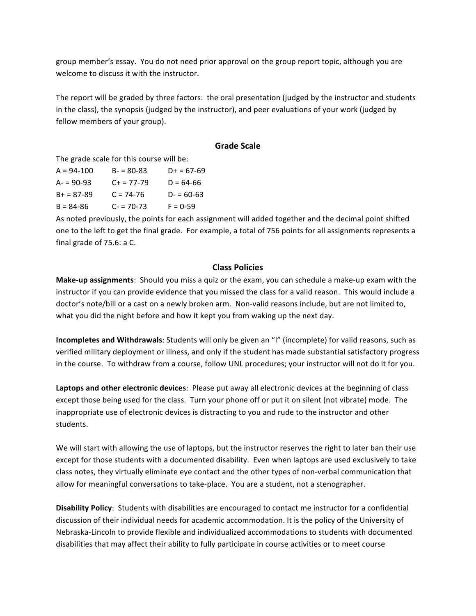group member's essay. You do not need prior approval on the group report topic, although you are welcome to discuss it with the instructor.

The report will be graded by three factors: the oral presentation (judged by the instructor and students in the class), the synopsis (judged by the instructor), and peer evaluations of your work (judged by fellow members of your group).

## **Grade Scale**

The grade scale for this course will be:

| $A = 94-100$  | $B - 80 - 83$ | $D+ = 67-69$  |
|---------------|---------------|---------------|
| $A - 90 - 93$ | $C+ = 77-79$  | $D = 64-66$   |
| $B+ = 87-89$  | $C = 74-76$   | $D - 60 - 63$ |
| $B = 84-86$   | $C = 70-73$   | $F = 0-59$    |

As noted previously, the points for each assignment will added together and the decimal point shifted one to the left to get the final grade. For example, a total of 756 points for all assignments represents a final grade of 75.6: a C.

#### **Class Policies**

**Make-up assignments**: Should you miss a quiz or the exam, you can schedule a make-up exam with the instructor if you can provide evidence that you missed the class for a valid reason. This would include a doctor's note/bill or a cast on a newly broken arm. Non-valid reasons include, but are not limited to, what you did the night before and how it kept you from waking up the next day.

**Incompletes and Withdrawals**: Students will only be given an "I" (incomplete) for valid reasons, such as verified military deployment or illness, and only if the student has made substantial satisfactory progress in the course. To withdraw from a course, follow UNL procedures; your instructor will not do it for you.

Laptops and other electronic devices: Please put away all electronic devices at the beginning of class except those being used for the class. Turn your phone off or put it on silent (not vibrate) mode. The inappropriate use of electronic devices is distracting to you and rude to the instructor and other students. 

We will start with allowing the use of laptops, but the instructor reserves the right to later ban their use except for those students with a documented disability. Even when laptops are used exclusively to take class notes, they virtually eliminate eye contact and the other types of non-verbal communication that allow for meaningful conversations to take-place. You are a student, not a stenographer.

**Disability Policy**: Students with disabilities are encouraged to contact me instructor for a confidential discussion of their individual needs for academic accommodation. It is the policy of the University of Nebraska-Lincoln to provide flexible and individualized accommodations to students with documented disabilities that may affect their ability to fully participate in course activities or to meet course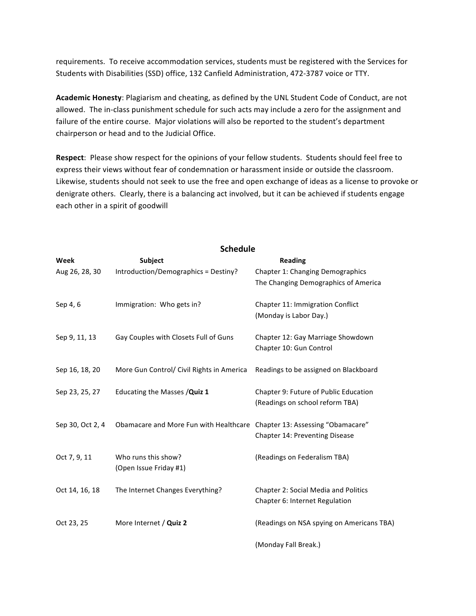requirements. To receive accommodation services, students must be registered with the Services for Students with Disabilities (SSD) office, 132 Canfield Administration, 472-3787 voice or TTY.

Academic Honesty: Plagiarism and cheating, as defined by the UNL Student Code of Conduct, are not allowed. The in-class punishment schedule for such acts may include a zero for the assignment and failure of the entire course. Major violations will also be reported to the student's department chairperson or head and to the Judicial Office.

Respect: Please show respect for the opinions of your fellow students. Students should feel free to express their views without fear of condemnation or harassment inside or outside the classroom. Likewise, students should not seek to use the free and open exchange of ideas as a license to provoke or denigrate others. Clearly, there is a balancing act involved, but it can be achieved if students engage each other in a spirit of goodwill

| <b>Schedule</b>  |                                                                          |                                                                          |  |
|------------------|--------------------------------------------------------------------------|--------------------------------------------------------------------------|--|
| Week             | <b>Subject</b>                                                           | Reading                                                                  |  |
| Aug 26, 28, 30   | Introduction/Demographics = Destiny?                                     | Chapter 1: Changing Demographics<br>The Changing Demographics of America |  |
| Sep 4, 6         | Immigration: Who gets in?                                                | Chapter 11: Immigration Conflict<br>(Monday is Labor Day.)               |  |
| Sep 9, 11, 13    | Gay Couples with Closets Full of Guns                                    | Chapter 12: Gay Marriage Showdown<br>Chapter 10: Gun Control             |  |
| Sep 16, 18, 20   | More Gun Control/ Civil Rights in America                                | Readings to be assigned on Blackboard                                    |  |
| Sep 23, 25, 27   | Educating the Masses / Quiz 1                                            | Chapter 9: Future of Public Education<br>(Readings on school reform TBA) |  |
| Sep 30, Oct 2, 4 | Obamacare and More Fun with Healthcare Chapter 13: Assessing "Obamacare" | Chapter 14: Preventing Disease                                           |  |
| Oct 7, 9, 11     | Who runs this show?<br>(Open Issue Friday #1)                            | (Readings on Federalism TBA)                                             |  |
| Oct 14, 16, 18   | The Internet Changes Everything?                                         | Chapter 2: Social Media and Politics<br>Chapter 6: Internet Regulation   |  |
| Oct 23, 25       | More Internet / Quiz 2                                                   | (Readings on NSA spying on Americans TBA)                                |  |
|                  |                                                                          | (Monday Fall Break.)                                                     |  |